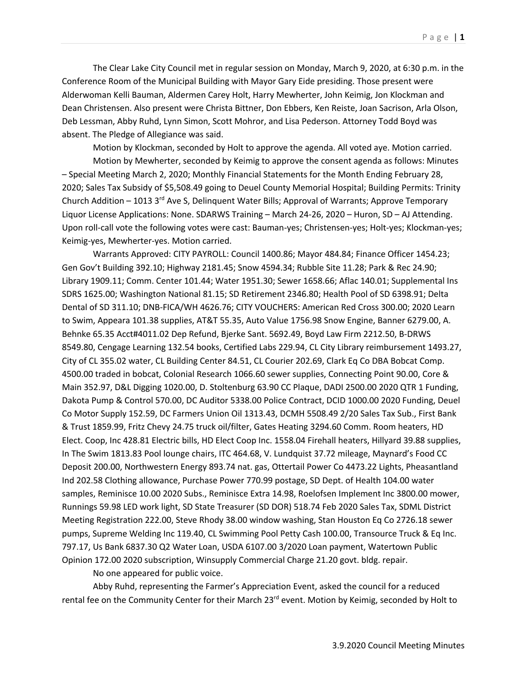The Clear Lake City Council met in regular session on Monday, March 9, 2020, at 6:30 p.m. in the Conference Room of the Municipal Building with Mayor Gary Eide presiding. Those present were Alderwoman Kelli Bauman, Aldermen Carey Holt, Harry Mewherter, John Keimig, Jon Klockman and Dean Christensen. Also present were Christa Bittner, Don Ebbers, Ken Reiste, Joan Sacrison, Arla Olson, Deb Lessman, Abby Ruhd, Lynn Simon, Scott Mohror, and Lisa Pederson. Attorney Todd Boyd was absent. The Pledge of Allegiance was said.

Motion by Klockman, seconded by Holt to approve the agenda. All voted aye. Motion carried.

Motion by Mewherter, seconded by Keimig to approve the consent agenda as follows: Minutes – Special Meeting March 2, 2020; Monthly Financial Statements for the Month Ending February 28, 2020; Sales Tax Subsidy of \$5,508.49 going to Deuel County Memorial Hospital; Building Permits: Trinity Church Addition – 1013  $3<sup>rd</sup>$  Ave S, Delinquent Water Bills; Approval of Warrants; Approve Temporary Liquor License Applications: None. SDARWS Training – March 24-26, 2020 – Huron, SD – AJ Attending. Upon roll-call vote the following votes were cast: Bauman-yes; Christensen-yes; Holt-yes; Klockman-yes; Keimig-yes, Mewherter-yes. Motion carried.

Warrants Approved: CITY PAYROLL: Council 1400.86; Mayor 484.84; Finance Officer 1454.23; Gen Gov't Building 392.10; Highway 2181.45; Snow 4594.34; Rubble Site 11.28; Park & Rec 24.90; Library 1909.11; Comm. Center 101.44; Water 1951.30; Sewer 1658.66; Aflac 140.01; Supplemental Ins SDRS 1625.00; Washington National 81.15; SD Retirement 2346.80; Health Pool of SD 6398.91; Delta Dental of SD 311.10; DNB-FICA/WH 4626.76; CITY VOUCHERS: American Red Cross 300.00; 2020 Learn to Swim, Appeara 101.38 supplies, AT&T 55.35, Auto Value 1756.98 Snow Engine, Banner 6279.00, A. Behnke 65.35 Acct#4011.02 Dep Refund, Bjerke Sant. 5692.49, Boyd Law Firm 2212.50, B-DRWS 8549.80, Cengage Learning 132.54 books, Certified Labs 229.94, CL City Library reimbursement 1493.27, City of CL 355.02 water, CL Building Center 84.51, CL Courier 202.69, Clark Eq Co DBA Bobcat Comp. 4500.00 traded in bobcat, Colonial Research 1066.60 sewer supplies, Connecting Point 90.00, Core & Main 352.97, D&L Digging 1020.00, D. Stoltenburg 63.90 CC Plaque, DADI 2500.00 2020 QTR 1 Funding, Dakota Pump & Control 570.00, DC Auditor 5338.00 Police Contract, DCID 1000.00 2020 Funding, Deuel Co Motor Supply 152.59, DC Farmers Union Oil 1313.43, DCMH 5508.49 2/20 Sales Tax Sub., First Bank & Trust 1859.99, Fritz Chevy 24.75 truck oil/filter, Gates Heating 3294.60 Comm. Room heaters, HD Elect. Coop, Inc 428.81 Electric bills, HD Elect Coop Inc. 1558.04 Firehall heaters, Hillyard 39.88 supplies, In The Swim 1813.83 Pool lounge chairs, ITC 464.68, V. Lundquist 37.72 mileage, Maynard's Food CC Deposit 200.00, Northwestern Energy 893.74 nat. gas, Ottertail Power Co 4473.22 Lights, Pheasantland Ind 202.58 Clothing allowance, Purchase Power 770.99 postage, SD Dept. of Health 104.00 water samples, Reminisce 10.00 2020 Subs., Reminisce Extra 14.98, Roelofsen Implement Inc 3800.00 mower, Runnings 59.98 LED work light, SD State Treasurer (SD DOR) 518.74 Feb 2020 Sales Tax, SDML District Meeting Registration 222.00, Steve Rhody 38.00 window washing, Stan Houston Eq Co 2726.18 sewer pumps, Supreme Welding Inc 119.40, CL Swimming Pool Petty Cash 100.00, Transource Truck & Eq Inc. 797.17, Us Bank 6837.30 Q2 Water Loan, USDA 6107.00 3/2020 Loan payment, Watertown Public Opinion 172.00 2020 subscription, Winsupply Commercial Charge 21.20 govt. bldg. repair.

No one appeared for public voice.

Abby Ruhd, representing the Farmer's Appreciation Event, asked the council for a reduced rental fee on the Community Center for their March 23<sup>rd</sup> event. Motion by Keimig, seconded by Holt to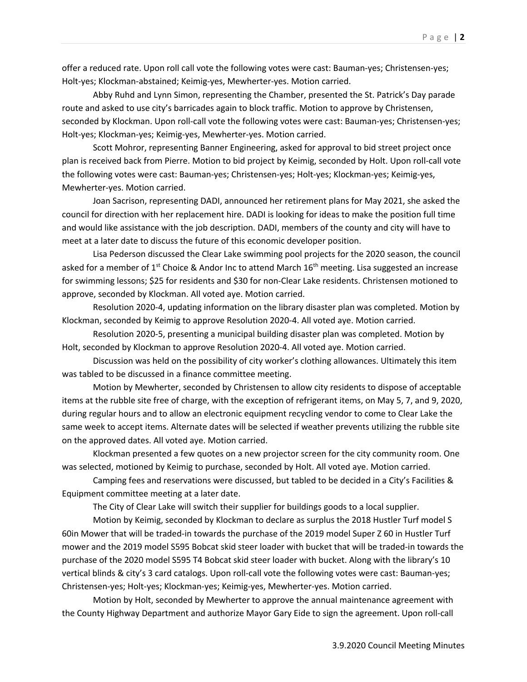offer a reduced rate. Upon roll call vote the following votes were cast: Bauman-yes; Christensen-yes; Holt-yes; Klockman-abstained; Keimig-yes, Mewherter-yes. Motion carried.

Abby Ruhd and Lynn Simon, representing the Chamber, presented the St. Patrick's Day parade route and asked to use city's barricades again to block traffic. Motion to approve by Christensen, seconded by Klockman. Upon roll-call vote the following votes were cast: Bauman-yes; Christensen-yes; Holt-yes; Klockman-yes; Keimig-yes, Mewherter-yes. Motion carried.

Scott Mohror, representing Banner Engineering, asked for approval to bid street project once plan is received back from Pierre. Motion to bid project by Keimig, seconded by Holt. Upon roll-call vote the following votes were cast: Bauman-yes; Christensen-yes; Holt-yes; Klockman-yes; Keimig-yes, Mewherter-yes. Motion carried.

Joan Sacrison, representing DADI, announced her retirement plans for May 2021, she asked the council for direction with her replacement hire. DADI is looking for ideas to make the position full time and would like assistance with the job description. DADI, members of the county and city will have to meet at a later date to discuss the future of this economic developer position.

Lisa Pederson discussed the Clear Lake swimming pool projects for the 2020 season, the council asked for a member of 1<sup>st</sup> Choice & Andor Inc to attend March 16<sup>th</sup> meeting. Lisa suggested an increase for swimming lessons; \$25 for residents and \$30 for non-Clear Lake residents. Christensen motioned to approve, seconded by Klockman. All voted aye. Motion carried.

Resolution 2020-4, updating information on the library disaster plan was completed. Motion by Klockman, seconded by Keimig to approve Resolution 2020-4. All voted aye. Motion carried.

Resolution 2020-5, presenting a municipal building disaster plan was completed. Motion by Holt, seconded by Klockman to approve Resolution 2020-4. All voted aye. Motion carried.

Discussion was held on the possibility of city worker's clothing allowances. Ultimately this item was tabled to be discussed in a finance committee meeting.

Motion by Mewherter, seconded by Christensen to allow city residents to dispose of acceptable items at the rubble site free of charge, with the exception of refrigerant items, on May 5, 7, and 9, 2020, during regular hours and to allow an electronic equipment recycling vendor to come to Clear Lake the same week to accept items. Alternate dates will be selected if weather prevents utilizing the rubble site on the approved dates. All voted aye. Motion carried.

Klockman presented a few quotes on a new projector screen for the city community room. One was selected, motioned by Keimig to purchase, seconded by Holt. All voted aye. Motion carried.

Camping fees and reservations were discussed, but tabled to be decided in a City's Facilities & Equipment committee meeting at a later date.

The City of Clear Lake will switch their supplier for buildings goods to a local supplier.

Motion by Keimig, seconded by Klockman to declare as surplus the 2018 Hustler Turf model S 60in Mower that will be traded-in towards the purchase of the 2019 model Super Z 60 in Hustler Turf mower and the 2019 model S595 Bobcat skid steer loader with bucket that will be traded-in towards the purchase of the 2020 model S595 T4 Bobcat skid steer loader with bucket. Along with the library's 10 vertical blinds & city's 3 card catalogs. Upon roll-call vote the following votes were cast: Bauman-yes; Christensen-yes; Holt-yes; Klockman-yes; Keimig-yes, Mewherter-yes. Motion carried.

Motion by Holt, seconded by Mewherter to approve the annual maintenance agreement with the County Highway Department and authorize Mayor Gary Eide to sign the agreement. Upon roll-call